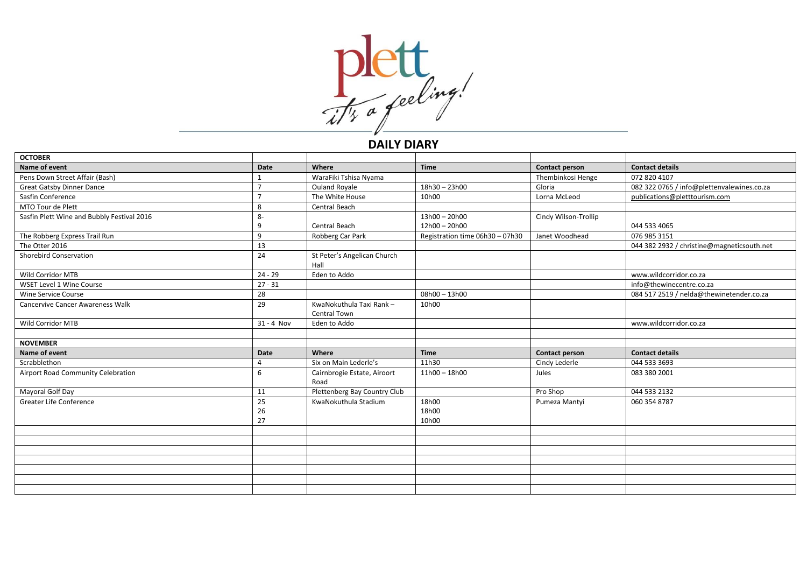

## **DAILY DIARY**

| <b>OCTOBER</b>                             |                |                                         |                                 |                       |                                            |
|--------------------------------------------|----------------|-----------------------------------------|---------------------------------|-----------------------|--------------------------------------------|
| Name of event                              | Date           | Where                                   | <b>Time</b>                     | <b>Contact person</b> | <b>Contact details</b>                     |
| Pens Down Street Affair (Bash)             |                | WaraFiki Tshisa Nyama                   |                                 | Thembinkosi Henge     | 072 820 4107                               |
| <b>Great Gatsby Dinner Dance</b>           |                | <b>Ouland Royale</b>                    | 18h30 - 23h00                   | Gloria                | 082 322 0765 / info@plettenvalewines.co.za |
| Sasfin Conference                          |                | The White House                         | 10h00                           | Lorna McLeod          | publications@pletttourism.com              |
| MTO Tour de Plett                          | 8              | Central Beach                           |                                 |                       |                                            |
| Sasfin Plett Wine and Bubbly Festival 2016 | 8-             |                                         | $13h00 - 20h00$                 | Cindy Wilson-Trollip  |                                            |
|                                            | 9              | Central Beach                           | 12h00 - 20h00                   |                       | 044 533 4065                               |
| The Robberg Express Trail Run              | 9              | Robberg Car Park                        | Registration time 06h30 - 07h30 | Janet Woodhead        | 076 985 3151                               |
| The Otter 2016                             | 13             |                                         |                                 |                       | 044 382 2932 / christine@magneticsouth.net |
| Shorebird Conservation                     | 24             | St Peter's Angelican Church<br>Hall     |                                 |                       |                                            |
| Wild Corridor MTB                          | $24 - 29$      | Eden to Addo                            |                                 |                       | www.wildcorridor.co.za                     |
| WSET Level 1 Wine Course                   | $27 - 31$      |                                         |                                 |                       | info@thewinecentre.co.za                   |
| Wine Service Course                        | 28             |                                         | $08h00 - 13h00$                 |                       | 084 517 2519 / nelda@thewinetender.co.za   |
| <b>Cancervive Cancer Awareness Walk</b>    | 29             | KwaNokuthula Taxi Rank-<br>Central Town | 10h00                           |                       |                                            |
| Wild Corridor MTB                          | $31 - 4$ Nov   | Eden to Addo                            |                                 |                       | www.wildcorridor.co.za                     |
|                                            |                |                                         |                                 |                       |                                            |
| <b>NOVEMBER</b>                            |                |                                         |                                 |                       |                                            |
| Name of event                              | <b>Date</b>    | Where                                   | <b>Time</b>                     | <b>Contact person</b> | <b>Contact details</b>                     |
| Scrabblethon                               | 4              | Six on Main Lederle's                   | 11h30                           | Cindy Lederle         | 044 533 3693                               |
| Airport Road Community Celebration         | 6              | Cairnbrogie Estate, Airoort<br>Road     | 11h00 - 18h00                   | Jules                 | 083 380 2001                               |
| Mayoral Golf Day                           | 11             | Plettenberg Bay Country Club            |                                 | Pro Shop              | 044 533 2132                               |
| Greater Life Conference                    | 25<br>26<br>27 | KwaNokuthula Stadium                    | 18h00<br>18h00<br>10h00         | Pumeza Mantyi         | 060 354 8787                               |
|                                            |                |                                         |                                 |                       |                                            |
|                                            |                |                                         |                                 |                       |                                            |
|                                            |                |                                         |                                 |                       |                                            |
|                                            |                |                                         |                                 |                       |                                            |
|                                            |                |                                         |                                 |                       |                                            |
|                                            |                |                                         |                                 |                       |                                            |
|                                            |                |                                         |                                 |                       |                                            |